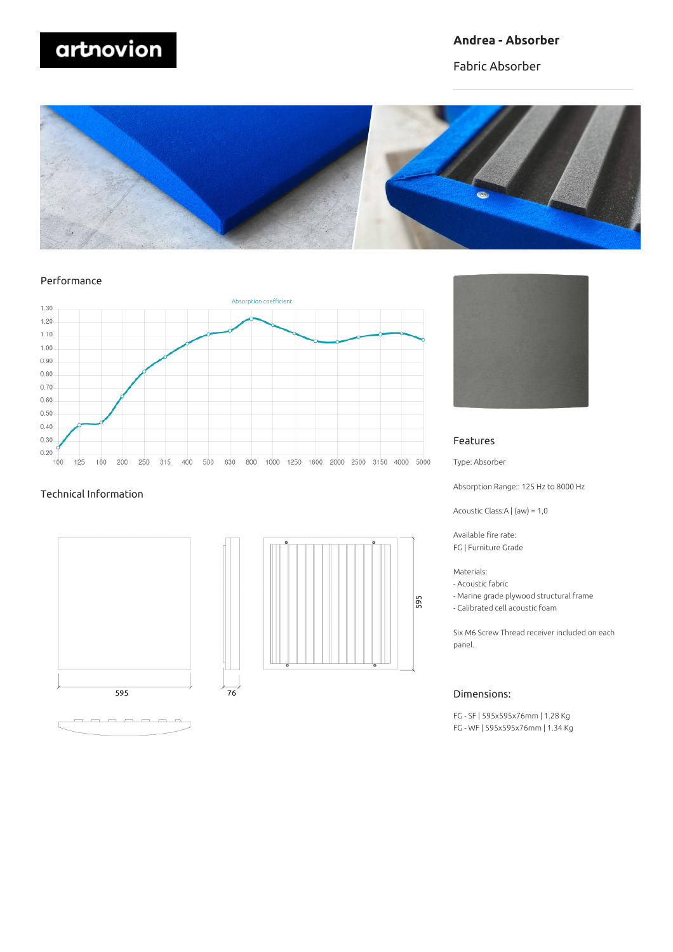# artnovion

#### **Andrea - Absorber**

Fabric Absorber



#### Performance



#### Technical Information







#### Features

Type: Absorber

Absorption Range:: 125 Hz to 8000 Hz

Acoustic Class:A | (aw) = 1,0

Available fire rate: FG | Furniture Grade

#### Materials:

- Acoustic fabric
- Marine grade plywood structural frame
- Calibrated cell acoustic foam

Six M6 Screw Thread receiver included on each panel.

#### Dimensions:

FG - SF | 595x595x76mm | 1.28 Kg FG - WF | 595x595x76mm | 1.34 Kg